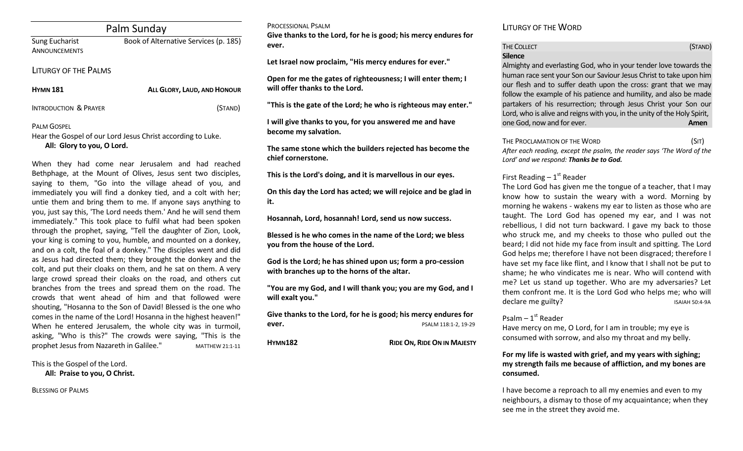|  |  |  | Palm Sunday |
|--|--|--|-------------|
|--|--|--|-------------|

Sung Eucharist Book of Alternative Services (p. 185) **ANNOUNCEMENTS** 

#### LITURGY OF THE PALMS

| <b>HYMN 181</b>                  | ALL GLORY, LAUD, AND HONOUR |
|----------------------------------|-----------------------------|
| <b>INTRODUCTION &amp; PRAYER</b> | (Stand)                     |

# PALM GOSPEL

Hear the Gospel of our Lord Jesus Christ according to Luke. **All: Glory to you, O Lord.**

When they had come near Jerusalem and had reached Bethphage, at the Mount of Olives, Jesus sent two disciples, saying to them, "Go into the village ahead of you, and immediately you will find a donkey tied, and a colt with her; untie them and bring them to me. If anyone says anything to you, just say this, 'The Lord needs them.' And he will send them immediately." This took place to fulfil what had been spoken through the prophet, saying, "Tell the daughter of Zion, Look, your king is coming to you, humble, and mounted on a donkey, and on a colt, the foal of a donkey." The disciples went and did as Jesus had directed them; they brought the donkey and the colt, and put their cloaks on them, and he sat on them. A very large crowd spread their cloaks on the road, and others cut branches from the trees and spread them on the road. The crowds that went ahead of him and that followed were shouting, "Hosanna to the Son of David! Blessed is the one who comes in the name of the Lord! Hosanna in the highest heaven!" When he entered Jerusalem, the whole city was in turmoil, asking, "Who is this?" The crowds were saying, "This is the prophet Jesus from Nazareth in Galilee." MATTHEW 21:1-11

PROCESSIONAL PSALM

**Give thanks to the Lord, for he is good; his mercy endures for ever.** 

**Let Israel now proclaim, "His mercy endures for ever."**

**Open for me the gates of righteousness; I will enter them; I will offer thanks to the Lord.** 

**"This is the gate of the Lord; he who is righteous may enter."**

**I will give thanks to you, for you answered me and have become my salvation.** 

**The same stone which the builders rejected has become the chief cornerstone.** 

**This is the Lord's doing, and it is marvellous in our eyes.** 

**On this day the Lord has acted; we will rejoice and be glad in it.** 

**Hosannah, Lord, hosannah! Lord, send us now success.** 

**Blessed is he who comes in the name of the Lord; we bless you from the house of the Lord.** 

**God is the Lord; he has shined upon us; form a pro-cession with branches up to the horns of the altar.** 

**"You are my God, and I will thank you; you are my God, and I will exalt you."** 

**Give thanks to the Lord, for he is good; his mercy endures for ever.** PSALM 118:1-2, 19-29

**HYMN182 RIDE ON, RIDE ON IN MAJESTY**

LITURGY OF THE WORD

# THE COLLECT **THE COLLECT COLLECT COLLECT COLLECT COLLECT COLLECT COLLECT COLLECT COLLECT COLLECT Silence**

Almighty and everlasting God, who in your tender love towards the human race sent your Son our Saviour Jesus Christ to take upon him our flesh and to suffer death upon the cross: grant that we may follow the example of his patience and humility, and also be made partakers of his resurrection; through Jesus Christ your Son our Lord, who is alive and reigns with you, in the unity of the Holy Spirit, one God, now and for ever. **Amen**

THE PROCLAMATION OF THE WORD (SIT) *After each reading, except the psalm, the reader says 'The Word of the Lord' and we respond: Thanks be to God.* 

# First Reading  $-1<sup>st</sup>$  Reader

The Lord God has given me the tongue of a teacher, that I may know how to sustain the weary with a word. Morning by morning he wakens - wakens my ear to listen as those who are taught. The Lord God has opened my ear, and I was not rebellious, I did not turn backward. I gave my back to those who struck me, and my cheeks to those who pulled out the beard; I did not hide my face from insult and spitting. The Lord God helps me; therefore I have not been disgraced; therefore I have set my face like flint, and I know that I shall not be put to shame; he who vindicates me is near. Who will contend with me? Let us stand up together. Who are my adversaries? Let them confront me. It is the Lord God who helps me; who will declare me guilty? ISAIAH 50:4-9A

# Psalm – 1st Reader

Have mercy on me, O Lord, for I am in trouble; my eye is consumed with sorrow, and also my throat and my belly.

## **For my life is wasted with grief, and my years with sighing; my strength fails me because of affliction, and my bones are consumed.**

I have become a reproach to all my enemies and even to my neighbours, a dismay to those of my acquaintance; when they see me in the street they avoid me.

This is the Gospel of the Lord.

**All: Praise to you, O Christ.**

BLESSING OF PALMS